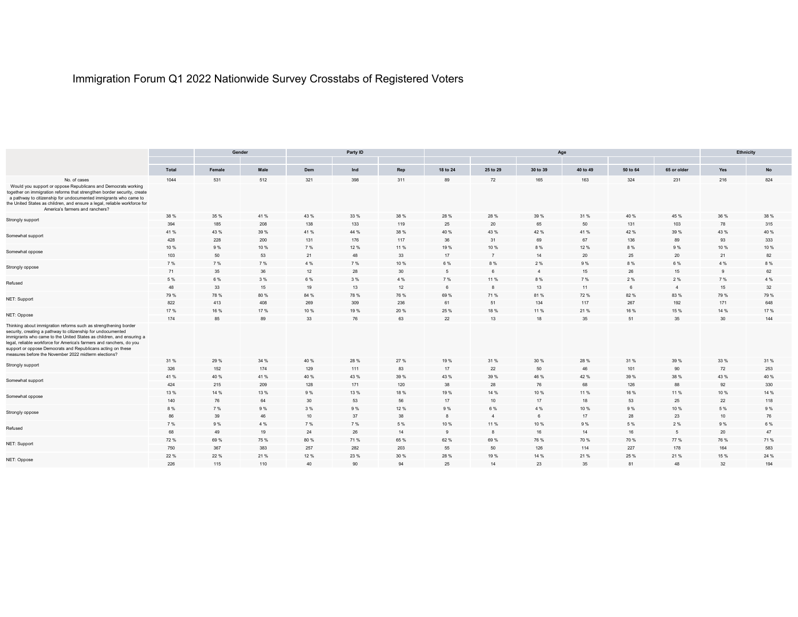## Immigration Forum Q1 2022 Nationwide Survey Crosstabs of Registered Voters

|                                                                                                                                                                                                                                                                                                                                                                                                        | Gender |        |      |      | Party ID        |      |          |                |                 | Ethnicity |          |                |          |      |
|--------------------------------------------------------------------------------------------------------------------------------------------------------------------------------------------------------------------------------------------------------------------------------------------------------------------------------------------------------------------------------------------------------|--------|--------|------|------|-----------------|------|----------|----------------|-----------------|-----------|----------|----------------|----------|------|
|                                                                                                                                                                                                                                                                                                                                                                                                        |        |        |      |      |                 |      |          |                |                 |           |          |                |          |      |
|                                                                                                                                                                                                                                                                                                                                                                                                        | Total  | Female | Male | Dem  | Ind             | Rep  | 18 to 24 | 25 to 29       | 30 to 39        | 40 to 49  | 50 to 64 | 65 or older    | Yes      | No   |
| No. of cases                                                                                                                                                                                                                                                                                                                                                                                           | 1044   | 531    | 512  | 321  | 398             | 311  | 89       | 72             | 165             | 163       | 324      | 231            | 216      | 824  |
| Would you support or oppose Republicans and Democrats working<br>together on immigration reforms that strengthen border security, create<br>a pathway to citizenship for undocumented immigrants who came to<br>the United States as children, and ensure a legal, reliable workforce for<br>America's farmers and ranchers?                                                                           |        |        |      |      |                 |      |          |                |                 |           |          |                |          |      |
| Strongly support                                                                                                                                                                                                                                                                                                                                                                                       | 38 %   | 35 %   | 41 % | 43 % | 33 %            | 38 % | 28 %     | 28 %           | 39 %            | 31 %      | 40 %     | 45 %           | 36 %     | 38 % |
|                                                                                                                                                                                                                                                                                                                                                                                                        | 394    | 185    | 208  | 138  | 133             | 119  | 25       | 20             | 65              | 50        | 131      | 103            | 78       | 315  |
| Somewhat support                                                                                                                                                                                                                                                                                                                                                                                       | 41 %   | 43 %   | 39 % | 41 % | 44 %            | 38 % | 40 %     | 43 %           | 42 %            | 41%       | 42 %     | 39 %           | 43 %     | 40 % |
|                                                                                                                                                                                                                                                                                                                                                                                                        | 428    | 228    | 200  | 131  | 176             | 117  | 36       | 31             | 69              | 67        | 136      | 89             | 93       | 333  |
| Somewhat oppose                                                                                                                                                                                                                                                                                                                                                                                        | 10 %   | 9%     | 10 % | 7 %  | 12%             | 11 % | 19%      | 10%            | 8 %             | 12 %      | 8 %      | 9%             | 10 %     | 10 % |
|                                                                                                                                                                                                                                                                                                                                                                                                        | 103    | 50     | 53   | 21   | 48              | 33   | 17       | $\overline{7}$ | 14              | 20        | 25       | 20             | 21       | 82   |
| Strongly oppose                                                                                                                                                                                                                                                                                                                                                                                        | 7 %    | 7 %    | 7 %  | 4 %  | 7 %             | 10%  |          | 8 %            | 2 %             | 9%        | 8 %      | 6 %            | 4 %      | 8 %  |
|                                                                                                                                                                                                                                                                                                                                                                                                        | 71     | 35     | 36   | 12   | 28              | 30   |          | 6              | $\overline{4}$  | 15        | 26       | 15             | $\alpha$ | 62   |
| Refused                                                                                                                                                                                                                                                                                                                                                                                                | 5 %    | 6 %    | 3 %  | 6 %  | 3 %             | 4 %  | 7 %      | 11 %           | 8 %             | 7 %       | 2 %      | 2 %            | 7 %      | 4 %  |
|                                                                                                                                                                                                                                                                                                                                                                                                        | 48     | 33     | 15   | 19   | 13              | 12   | -6       | 8              | 13              | 11        | 6        | $\overline{4}$ | 15       | 32   |
| NET: Support                                                                                                                                                                                                                                                                                                                                                                                           | 79 %   | 78 %   | 80 % | 84 % | 78 %            | 76 % | 69 %     | 71%            | 81%             | 72 %      | 82 %     | 83 %           | 79 %     | 79 % |
|                                                                                                                                                                                                                                                                                                                                                                                                        | 822    | 413    | 408  | 269  | 309             | 236  | 61       | 51             | 134             | 117       | 267      | 192            | 171      | 648  |
| NET: Oppose                                                                                                                                                                                                                                                                                                                                                                                            | 17 %   | 16 %   | 17 % | 10 % | 19%             | 20 % | 25 %     | 18 %           | 11 %            | 21%       | 16 %     | 15 %           | 14 %     | 17%  |
|                                                                                                                                                                                                                                                                                                                                                                                                        | 174    | 85     | 89   | 33   | 76              | 63   | 22       | 13             | 18              | 35        | 51       | 35             | 30       | 144  |
| Thinking about immigration reforms such as strengthening border<br>security, creating a pathway to citizenship for undocumented<br>immigrants who came to the United States as children, and ensuring a<br>legal, reliable workforce for America's farmers and ranchers, do you<br>support or oppose Democrats and Republicans acting on these<br>measures before the November 2022 midterm elections? |        |        |      |      |                 |      |          |                |                 |           |          |                |          |      |
| Strongly support                                                                                                                                                                                                                                                                                                                                                                                       | 31 %   | 29 %   | 34 % | 40 % | 28 %            | 27 % | 19 %     | 31 %           | 30 %            | 28 %      | 31 %     | 39 %           | 33 %     | 31 % |
|                                                                                                                                                                                                                                                                                                                                                                                                        | 326    | 152    | 174  | 129  | 111             | 83   | 17       | 22             | 50              | 46        | 101      | 90             | 72       | 253  |
| Somewhat support                                                                                                                                                                                                                                                                                                                                                                                       | 41 %   | 40 %   | 41 % | 40 % | 43 %            | 39 % | 43 %     | 39 %           | 46 %            | 42 %      | 39 %     | 38 %           | 43 %     | 40 % |
|                                                                                                                                                                                                                                                                                                                                                                                                        | 424    | 215    | 209  | 128  | 171             | 120  | 38       | 28             | 76              | 68        | 126      | 88             | 92       | 330  |
| Somewhat oppose                                                                                                                                                                                                                                                                                                                                                                                        | 13 %   | 14 %   | 13 % | 9%   | 13 %            | 18 % | 19%      | 14 %           | 10 %            | 11 %      | 16 %     | 11 %           | 10 %     | 14 % |
|                                                                                                                                                                                                                                                                                                                                                                                                        | 140    | 76     | 64   | 30   | 53              | 56   | 17       | 10             | 17              | 18        | 53       | 25             | 22       | 118  |
| Strongly oppose                                                                                                                                                                                                                                                                                                                                                                                        | 8 %    | 7 %    | 9 %  | 3 %  | 9%              | 12 % | 9%       | 6 %            | 4 %             | 10 %      | 9 %      | 10 %           | 5 %      | 9 %  |
|                                                                                                                                                                                                                                                                                                                                                                                                        | 86     | 39     | 46   | 10   | 37              | 38   |          | $\overline{4}$ | $6\overline{6}$ | 17        | 28       | 23             | 10       | 76   |
| Refused                                                                                                                                                                                                                                                                                                                                                                                                | 7 %    | 9%     | 4 %  | 7 %  | 7 %             | 5 %  | 10 %     | 11 %           | 10 %            | 9 %       | 5 %      | 2 %            | 9%       | 6 %  |
|                                                                                                                                                                                                                                                                                                                                                                                                        | 68     | 49     | 19   | 24   | 26              | 14   | 9        | 8              | 16              | 14        | 16       | 5              | 20       | 47   |
| NET: Support                                                                                                                                                                                                                                                                                                                                                                                           | 72 %   | 69 %   | 75 % | 80 % | 71%             | 65 % | 62 %     | 69 %           | 76 %            | 70 %      | 70 %     | 77 %           | 76 %     | 71 % |
|                                                                                                                                                                                                                                                                                                                                                                                                        | 750    | 367    | 383  | 257  | 282             | 203  | 55       | 50             | 126             | 114       | 227      | 178            | 164      | 583  |
| NET: Oppose                                                                                                                                                                                                                                                                                                                                                                                            | 22 %   | 22 %   | 21 % | 12%  | 23 %            | 30 % | 28 %     | 19%            | 14 %            | 21%       | 25 %     | 21 %           | 15 %     | 24 % |
|                                                                                                                                                                                                                                                                                                                                                                                                        | 226    | 115    | 110  | 40   | 90 <sup>°</sup> | 94   | 25       | 14             | 23              | 35        | 81       | 48             | 32       | 194  |
|                                                                                                                                                                                                                                                                                                                                                                                                        |        |        |      |      |                 |      |          |                |                 |           |          |                |          |      |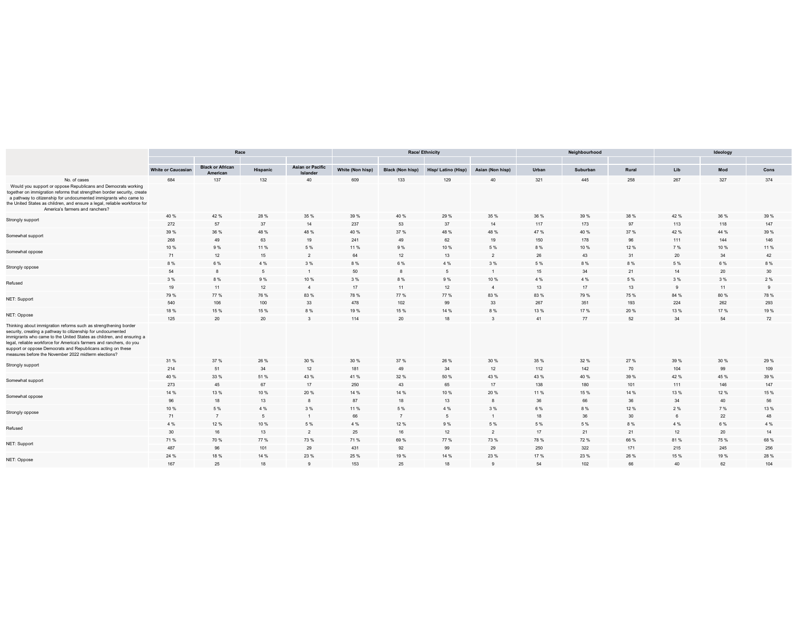|                                                                                                                                                                                                                                                                                                                                                                                                        | Race                      |                                     |          |                                     |                  |                         | <b>Race/ Ethnicity</b> |                  |       | Neighbourhood |       | Ideology |      |                 |  |
|--------------------------------------------------------------------------------------------------------------------------------------------------------------------------------------------------------------------------------------------------------------------------------------------------------------------------------------------------------------------------------------------------------|---------------------------|-------------------------------------|----------|-------------------------------------|------------------|-------------------------|------------------------|------------------|-------|---------------|-------|----------|------|-----------------|--|
|                                                                                                                                                                                                                                                                                                                                                                                                        |                           |                                     |          |                                     |                  |                         |                        |                  |       |               |       |          |      |                 |  |
|                                                                                                                                                                                                                                                                                                                                                                                                        | <b>White or Caucasian</b> | <b>Black or African</b><br>American | Hispanic | <b>Asian or Pacific</b><br>Islander | White (Non hisp) | <b>Black (Non hisp)</b> | Hisp/Latino (Hisp)     | Asian (Non hisp) | Urban | Suburban      | Rural | Lib      | Mod  | Cons            |  |
| No. of cases                                                                                                                                                                                                                                                                                                                                                                                           | 684                       | 137                                 | 132      | 40                                  | 609              | 133                     | 129                    | 40               | 321   | 445           | 258   | 267      | 327  | 374             |  |
| Would you support or oppose Republicans and Democrats working<br>together on immigration reforms that strengthen border security, create<br>a pathway to citizenship for undocumented immigrants who came to<br>the United States as children, and ensure a legal, reliable workforce for<br>America's farmers and ranchers?                                                                           |                           |                                     |          |                                     |                  |                         |                        |                  |       |               |       |          |      |                 |  |
| Strongly support                                                                                                                                                                                                                                                                                                                                                                                       | 40 %                      | 42 %                                | 28 %     | 35 %                                | 39 %             | 40 %                    | 29 %                   | 35 %             | 36 %  | 39 %          | 38 %  | 42 %     | 36 % | 39 %            |  |
|                                                                                                                                                                                                                                                                                                                                                                                                        | 272                       | 57                                  | 37       | 14                                  | 237              | 53                      | 37                     | 14               | 117   | 173           | 97    | 113      | 118  | 147             |  |
| Somewhat support                                                                                                                                                                                                                                                                                                                                                                                       | 39 %                      | 36 %                                | 48 %     | 48 %                                | 40 %             | 37 %                    | 48 %                   | 48 %             | 47 %  | 40 %          | 37 %  | 42 %     | 44 % | 39 %            |  |
|                                                                                                                                                                                                                                                                                                                                                                                                        | 268                       | 49                                  | 63       | 19                                  | 241              | 49                      | 62                     | 19               | 150   | 178           | 96    | 111      | 144  | 146             |  |
| Somewhat oppose                                                                                                                                                                                                                                                                                                                                                                                        | 10 %                      | 9 %                                 | 11 %     | 5 %                                 | 11 %             | 9%                      | 10 %                   | 5 %              | 8 %   | 10 %          | 12 %  | 7 %      | 10 % | 11 %            |  |
|                                                                                                                                                                                                                                                                                                                                                                                                        | 71                        | 12                                  | 15       | $\overline{2}$                      | 64               | 12                      | 13                     | 2                | 26    | 43            | 31    | 20       | 34   | 42              |  |
|                                                                                                                                                                                                                                                                                                                                                                                                        | 8%                        | 6 %                                 | 4 %      | 3 %                                 | 8 %              | 6 %                     | 4 %                    | 3 %              | 5 %   | 8 %           | 8 %   | 5 %      | 6 %  | 8 %             |  |
| Strongly oppose                                                                                                                                                                                                                                                                                                                                                                                        | 54                        | 8                                   | 5        |                                     | 50               | 8                       | 5                      |                  | 15    | 34            | 21    | 14       | 20   | 30 <sup>°</sup> |  |
|                                                                                                                                                                                                                                                                                                                                                                                                        | 3 %                       | 8 %                                 | 9%       | 10 %                                | 3 %              | 8%                      | 9%                     | 10 %             | 4 %   | 4 %           | 5 %   | 3%       | 3 %  | 2 %             |  |
| Refused                                                                                                                                                                                                                                                                                                                                                                                                | 19                        | 11                                  | 12       | $\overline{4}$                      | 17               | 11                      | 12                     | $\overline{4}$   | 13    | 17            | 13    | 9        | 11   | 9               |  |
|                                                                                                                                                                                                                                                                                                                                                                                                        | 79 %                      | 77 %                                | 76 %     | 83 %                                | 78 %             | 77 %                    | 77 %                   | 83 %             | 83 %  | 79 %          | 75 %  | 84 %     | 80 % | 78 %            |  |
| NET: Support                                                                                                                                                                                                                                                                                                                                                                                           | 540                       | 106                                 | 100      | 33                                  | 478              | 102                     | 99                     | 33               | 267   | 351           | 193   | 224      | 262  | 293             |  |
|                                                                                                                                                                                                                                                                                                                                                                                                        | 18 %                      | 15 %                                | 15 %     | 8%                                  | 19%              | 15 %                    | 14 %                   | 8%               | 13 %  | 17 %          | 20%   | 13 %     | 17 % | 19 %            |  |
| NET: Oppose                                                                                                                                                                                                                                                                                                                                                                                            | 125                       | 20                                  | 20       | $\mathbf{3}$                        | 114              | 20                      | 18                     | $\mathbf{3}$     | 41    | 77            | 52    | 34       | 54   | 72              |  |
| Thinking about immigration reforms such as strengthening border<br>security, creating a pathway to citizenship for undocumented<br>immigrants who came to the United States as children, and ensuring a<br>legal, reliable workforce for America's farmers and ranchers, do you<br>support or oppose Democrats and Republicans acting on these<br>measures before the November 2022 midterm elections? |                           |                                     |          |                                     |                  |                         |                        |                  |       |               |       |          |      |                 |  |
| Strongly support                                                                                                                                                                                                                                                                                                                                                                                       | 31 %                      | 37 %                                | 26 %     | 30 %                                | 30 %             | 37 %                    | 26 %                   | 30 %             | 35 %  | 32 %          | 27 %  | 39 %     | 30 % | 29 %            |  |
|                                                                                                                                                                                                                                                                                                                                                                                                        | 214                       | 51                                  | 34       | 12                                  | 181              | 49                      | 34                     | 12               | 112   | 142           | 70    | 104      | 99   | 109             |  |
| Somewhat support                                                                                                                                                                                                                                                                                                                                                                                       | 40 %                      | 33 %                                | 51 %     | 43 %                                | 41 %             | 32 %                    | 50 %                   | 43 %             | 43 %  | 40 %          | 39 %  | 42 %     | 45 % | 39 %            |  |
|                                                                                                                                                                                                                                                                                                                                                                                                        | 273                       | 45                                  | 67       | 17                                  | 250              | 43                      | 65                     | 17               | 138   | 180           | 101   | 111      | 146  | 147             |  |
| Somewhat oppose                                                                                                                                                                                                                                                                                                                                                                                        | 14 %                      | 13 %                                | 10 %     | 20 %                                | 14 %             | 14 %                    | 10%                    | 20%              | 11 %  | 15 %          | 14 %  | 13 %     | 12 % | 15 %            |  |
|                                                                                                                                                                                                                                                                                                                                                                                                        | 96                        | 18                                  | 13       | 8                                   | 87               | 18                      | 13                     | $\mathbf{8}$     | 36    | 66            | 36    | 34       | 40   | 56              |  |
| Strongly oppose                                                                                                                                                                                                                                                                                                                                                                                        | 10 %                      | 5 %                                 | 4 %      | 3 %                                 | 11 %             | 5 %                     | 4 %                    | 3 %              | 6 %   | 8 %           | 12 %  | 2 %      | 7 %  | 13 %            |  |
|                                                                                                                                                                                                                                                                                                                                                                                                        | 71                        | $\overline{7}$                      | 5        | $\mathbf{1}$                        | 66               | $\overline{7}$          | 5                      | $\overline{1}$   | 18    | 36            | 30    | 6        | 22   | 48              |  |
| Refused                                                                                                                                                                                                                                                                                                                                                                                                | 4 %                       | 12 %                                | 10 %     | 5 %                                 | 4 %              | 12 %                    | 9%                     | 5 %              | 5 %   | 5 %           | 8 %   | 4 %      | 6 %  | 4 %             |  |
|                                                                                                                                                                                                                                                                                                                                                                                                        | 30                        | 16                                  | 13       | $\overline{2}$                      | 25               | 16                      | 12                     | $\overline{2}$   | 17    | 21            | 21    | 12       | 20   | 14              |  |
| NET: Support                                                                                                                                                                                                                                                                                                                                                                                           | 71 %                      | 70 %                                | 77 %     | 73 %                                | 71 %             | 69%                     | 77 %                   | 73 %             | 78 %  | 72 %          | 66 %  | 81%      | 75 % | 68 %            |  |
|                                                                                                                                                                                                                                                                                                                                                                                                        | 487                       | 96                                  | 101      | 29                                  | 431              | 92                      | 99                     | 29               | 250   | 322           | 171   | 215      | 245  | 256             |  |
| NET: Oppose                                                                                                                                                                                                                                                                                                                                                                                            | 24 %                      | 18 %                                | 14 %     | 23 %                                | 25 %             | 19 %                    | 14 %                   | 23 %             | 17 %  | 23 %          | 26 %  | 15 %     | 19 % | 28 %            |  |
|                                                                                                                                                                                                                                                                                                                                                                                                        | 167                       | 25                                  | 18       | $\mathbf{Q}$                        | 153              | 25                      | 18                     | $\alpha$         | 54    | 102           | 66    | 40       | 62   | 104             |  |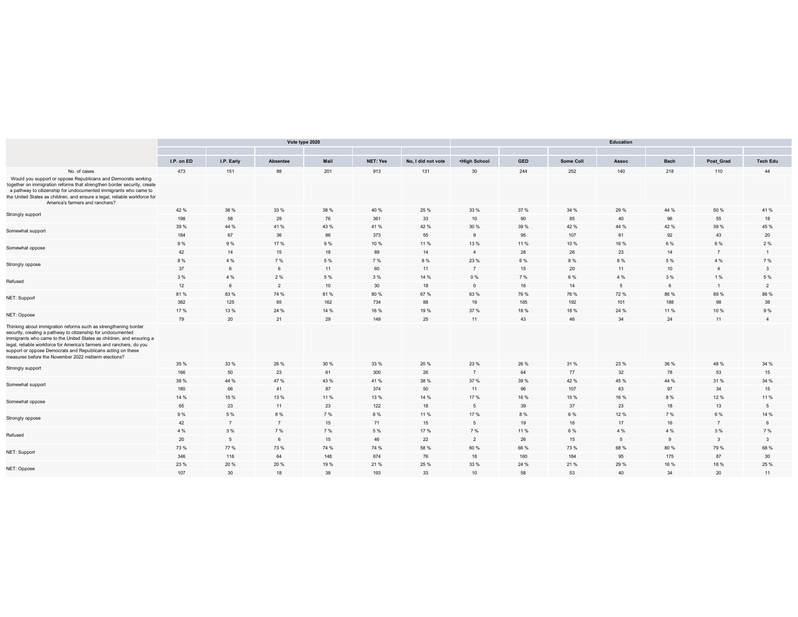|                                                                                                                                                                                                                                                                                                                                                                                                        |            |                | Vote type 2020  |      |                 |                    | <b>Education</b>                                                                                                                                |            |           |       |             |                |                 |  |  |  |
|--------------------------------------------------------------------------------------------------------------------------------------------------------------------------------------------------------------------------------------------------------------------------------------------------------------------------------------------------------------------------------------------------------|------------|----------------|-----------------|------|-----------------|--------------------|-------------------------------------------------------------------------------------------------------------------------------------------------|------------|-----------|-------|-------------|----------------|-----------------|--|--|--|
|                                                                                                                                                                                                                                                                                                                                                                                                        | I.P. on ED | I.P. Early     | <b>Absentee</b> | Mail | <b>NET: Yes</b> | No, I did not vote | <high school<="" th=""><th><b>GED</b></th><th>Some Coll</th><th>Assoc</th><th><b>Bach</b></th><th>Post_Grad</th><th><b>Tech Edu</b></th></high> | <b>GED</b> | Some Coll | Assoc | <b>Bach</b> | Post_Grad      | <b>Tech Edu</b> |  |  |  |
| No. of cases                                                                                                                                                                                                                                                                                                                                                                                           | 473        | 151            | 88              | 201  | 913             | 131                | 30                                                                                                                                              | 244        | 252       | 140   | 218         | 110            | 44              |  |  |  |
| Would you support or oppose Republicans and Democrats working<br>together on immigration reforms that strengthen border security, create<br>a pathway to citizenship for undocumented immigrants who came to<br>the United States as children, and ensure a legal, reliable workforce for<br>America's farmers and ranchers?                                                                           |            |                |                 |      |                 |                    |                                                                                                                                                 |            |           |       |             |                |                 |  |  |  |
| Strongly support                                                                                                                                                                                                                                                                                                                                                                                       | 42 %       | 38 %           | 33 %            | 38 % | 40 %            | 25 %               | 33 %                                                                                                                                            | 37 %       | 34 %      | 29 %  | 44 %        | 50 %           | 41 %            |  |  |  |
|                                                                                                                                                                                                                                                                                                                                                                                                        | 198        | 58             | 29              | 76   | 361             | 33                 | 10                                                                                                                                              | 90         | 85        | 40    | 96          | 55             | 18              |  |  |  |
| Somewhat support                                                                                                                                                                                                                                                                                                                                                                                       | 39 %       | 44 %           | 41 %            | 43 % | 41 %            | 42 %               | 30 %                                                                                                                                            | 39 %       | 42 %      | 44 %  | 42 %        | 39 %           | 45 %            |  |  |  |
|                                                                                                                                                                                                                                                                                                                                                                                                        | 184        | 67             | 36              | 86   | 373             | 55                 | 9                                                                                                                                               | 95         | 107       | 61    | 92          | 43             | $20\,$          |  |  |  |
| Somewhat oppose                                                                                                                                                                                                                                                                                                                                                                                        | 9%         | 9%             | 17 %            | 9%   | 10 %            | 11 %               | 13 %                                                                                                                                            | 11 %       | 10 %      | 16 %  | 6 %         | 6 %            | 2%              |  |  |  |
|                                                                                                                                                                                                                                                                                                                                                                                                        | 42         | 14             | 15              | 18   | 89              | 14                 | $\overline{4}$                                                                                                                                  | 28         | 26        | 23    | 14          | $\overline{7}$ | $\overline{1}$  |  |  |  |
| Strongly oppose                                                                                                                                                                                                                                                                                                                                                                                        | 8 %        | 4 %            | 7 %             | 5 %  | 7 %             | 8%                 | 23 %                                                                                                                                            | 6 %        | 8 %       | 8%    | 5 %         | 4 %            | 7 %             |  |  |  |
|                                                                                                                                                                                                                                                                                                                                                                                                        | 37         | $\epsilon$     | 6               | 11   | 60              | 11                 | $\overline{7}$                                                                                                                                  | 15         | 20        | 11    | 10          | $\overline{4}$ | $\mathbf{3}$    |  |  |  |
| Refused                                                                                                                                                                                                                                                                                                                                                                                                | 3 %        | 4 %            | 2 %             | 5 %  | 3 %             | 14 %               | $0\%$                                                                                                                                           | 7 %        | 6 %       | 4 %   | 3 %         | 1 %            | 5 %             |  |  |  |
|                                                                                                                                                                                                                                                                                                                                                                                                        | 12         | 6              | 2               | 10   | 30              | 18                 | $\overline{0}$                                                                                                                                  | 16         | 14        | 5     | 6           |                | 2               |  |  |  |
| NET: Support                                                                                                                                                                                                                                                                                                                                                                                           | 81%        | 83%            | 74 %            | 81%  | 80 %            | 67%                | 63 %                                                                                                                                            | 76 %       | 76 %      | 72 %  | 86 %        | 89 %           | 86 %            |  |  |  |
|                                                                                                                                                                                                                                                                                                                                                                                                        | 382        | 125            | 65              | 162  | 734             | 88                 | 19                                                                                                                                              | 185        | 192       | 101   | 188         | 98             | 38              |  |  |  |
| NET: Oppose                                                                                                                                                                                                                                                                                                                                                                                            | 17 %       | 13%            | 24 %            | 14 % | 16 %            | 19 %               | 37 %                                                                                                                                            | 18 %       | 18 %      | 24 %  | 11 %        | 10 %           | 9%              |  |  |  |
|                                                                                                                                                                                                                                                                                                                                                                                                        | 79         | 20             | 21              | 29   | 149             | 25                 | 11                                                                                                                                              | 43         | 46        | 34    | 24          | 11             | $\overline{4}$  |  |  |  |
| Thinking about immigration reforms such as strengthening border<br>security, creating a pathway to citizenship for undocumented<br>immigrants who came to the United States as children, and ensuring a<br>legal, reliable workforce for America's farmers and ranchers, do you<br>support or oppose Democrats and Republicans acting on these<br>measures before the November 2022 midterm elections? |            |                |                 |      |                 |                    |                                                                                                                                                 |            |           |       |             |                |                 |  |  |  |
| Strongly support                                                                                                                                                                                                                                                                                                                                                                                       | 35 %       | 33 %           | 26 %            | 30 % | 33 %            | 20%                | 23 %                                                                                                                                            | 26 %       | 31 %      | 23 %  | 36 %        | 48 %           | 34 %            |  |  |  |
|                                                                                                                                                                                                                                                                                                                                                                                                        | 166        | 50             | 23              | 61   | 300             | 26                 | $\overline{7}$                                                                                                                                  | 64         | 77        | 32    | 78          | 53             | 15              |  |  |  |
| Somewhat support                                                                                                                                                                                                                                                                                                                                                                                       | 38 %       | 44 %           | 47 %            | 43 % | 41 %            | 38 %               | 37 %                                                                                                                                            | 39 %       | 42 %      | 45 %  | 44 %        | 31 %           | 34 %            |  |  |  |
|                                                                                                                                                                                                                                                                                                                                                                                                        | 180        | 66             | 41              | 87   | 374             | 50                 | 11                                                                                                                                              | 96         | 107       | 63    | 97          | 34             | 15              |  |  |  |
| Somewhat oppose                                                                                                                                                                                                                                                                                                                                                                                        | 14 %       | 15 %           | 13 %            | 11 % | 13 %            | 14 %               | 17%                                                                                                                                             | 16 %       | 15 %      | 16%   | 8%          | 12 %           | 11 %            |  |  |  |
|                                                                                                                                                                                                                                                                                                                                                                                                        | 65         | 23             | 11              | 23   | 122             | 18                 | 5                                                                                                                                               | 39         | 37        | 23    | 18          | 13             | $5\overline{5}$ |  |  |  |
| Strongly oppose                                                                                                                                                                                                                                                                                                                                                                                        | 9%         | 5 %            | 8%              | 7 %  | 8 %             | 11 %               | 17 %                                                                                                                                            | 8%         | 6 %       | 12 %  | 7 %         | 6 %            | 14 %            |  |  |  |
|                                                                                                                                                                                                                                                                                                                                                                                                        | 42         | $\overline{7}$ | $\overline{7}$  | 15   | 71              | 15                 | 5                                                                                                                                               | 19         | 16        | 17    | 16          | $\overline{7}$ | 6               |  |  |  |
| Refused                                                                                                                                                                                                                                                                                                                                                                                                | 4 %        | 3 %            | 7 %             | 7 %  | 5 %             | 17 %               | 7 %                                                                                                                                             | 11 %       | 6 %       | 4 %   | 4 %         | 3 %            | 7 %             |  |  |  |
|                                                                                                                                                                                                                                                                                                                                                                                                        | 20         | -5             | 6               | 15   | 46              | 22                 | $\overline{2}$                                                                                                                                  | 26         | 15        | 5     | 9           | 3              | $\mathbf{3}$    |  |  |  |
| NET: Support                                                                                                                                                                                                                                                                                                                                                                                           | 73 %       | 77 %           | 73 %            | 74 % | 74 %            | 58 %               | 60 %                                                                                                                                            | 66 %       | 73 %      | 68%   | 80 %        | 79 %           | 68 %            |  |  |  |
|                                                                                                                                                                                                                                                                                                                                                                                                        | 346        | 116            | 64              | 148  | 674             | 76                 | 18                                                                                                                                              | 160        | 184       | 95    | 175         | 87             | 30              |  |  |  |
| NET: Oppose                                                                                                                                                                                                                                                                                                                                                                                            | 23 %       | 20 %           | 20 %            | 19%  | 21 %            | 25 %               | 33 %                                                                                                                                            | 24 %       | 21 %      | 29 %  | 16 %        | 18 %           | 25 %            |  |  |  |
|                                                                                                                                                                                                                                                                                                                                                                                                        | 107        | 30             | 18              | 38   | 193             | 33                 | 10                                                                                                                                              | 58         | 53        | 40    | 34          | 20             | 11              |  |  |  |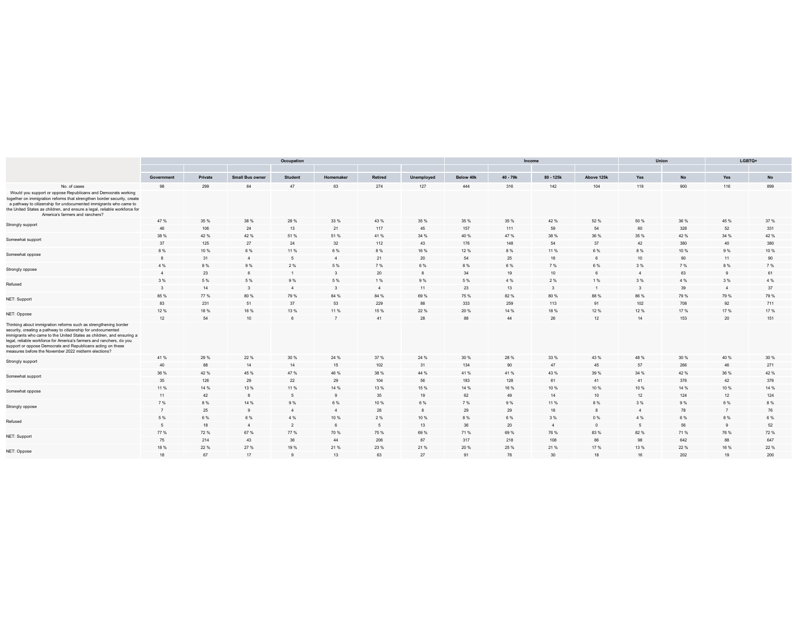|                                                                                                                                                                                                                                                                                                                                                                                                        | Occupation   |         |                        |                |                         |                |            |           |          | Income                  |                 |                | Union | LGBTQ+ |               |  |
|--------------------------------------------------------------------------------------------------------------------------------------------------------------------------------------------------------------------------------------------------------------------------------------------------------------------------------------------------------------------------------------------------------|--------------|---------|------------------------|----------------|-------------------------|----------------|------------|-----------|----------|-------------------------|-----------------|----------------|-------|--------|---------------|--|
|                                                                                                                                                                                                                                                                                                                                                                                                        | Government   | Private | <b>Small Bus owner</b> | <b>Student</b> | Homemake                | Retired        | Unemployed | Below 40k | 40 - 79k | 80 - 125k               | Above 125k      | Yes            | No    | Yes    | $\mathsf{No}$ |  |
| No. of cases                                                                                                                                                                                                                                                                                                                                                                                           | 98           | 299     | 64                     | 47             | 63                      | 274            | 127        | 444       | 316      | 142                     | 104             | 119            | 900   | 116    | 899           |  |
| Would you support or oppose Republicans and Democrats working<br>together on immigration reforms that strengthen border security, create<br>a pathway to citizenship for undocumented immigrants who came to<br>the United States as children, and ensure a legal, reliable workforce for<br>America's farmers and ranchers?                                                                           |              |         |                        |                |                         |                |            |           |          |                         |                 |                |       |        |               |  |
| Strongly support                                                                                                                                                                                                                                                                                                                                                                                       | 47 %         | 35 %    | 38 %                   | 28 %           | 33 %                    | 43 %           | 35 %       | 35 %      | 35 %     | 42 %                    | 52 %            | 50 %           | 36 %  | 45 %   | 37 %          |  |
|                                                                                                                                                                                                                                                                                                                                                                                                        | 46           | 106     | 24                     | 13             | 21                      | 117            | 45         | 157       | 111      | 59                      | 54              | 60             | 328   | 52     | 331           |  |
| Somewhat support                                                                                                                                                                                                                                                                                                                                                                                       | 38 %         | 42 %    | 42 %                   | 51 %           | 51 %                    | 41 %           | 34 %       | 40 %      | 47 %     | 38 %                    | 36 %            | 35 %           | 42 %  | 34 %   | 42 %          |  |
|                                                                                                                                                                                                                                                                                                                                                                                                        | 37           | 125     | 27                     | 24             | 32                      | 112            | 43         | 176       | 148      | 54                      | 37              | 42             | 380   | 40     | 380           |  |
| Somewhat oppose                                                                                                                                                                                                                                                                                                                                                                                        | 8%           | 10 %    | 6 %                    | 11 %           | 6 %                     | 8%             | 16 %       | 12 %      | 8 %      | 11 %                    | 6 %             | 8%             | 10 %  | 9%     | 10 %          |  |
|                                                                                                                                                                                                                                                                                                                                                                                                        |              | 31      | $\overline{4}$         | $\sqrt{5}$     | $\overline{4}$          | 21             | 20         | 54        | 25       | 16                      | $6\overline{6}$ | 10             | 90    | 11     | 90            |  |
|                                                                                                                                                                                                                                                                                                                                                                                                        | 4 %          | 8%      | 9 %                    | 2%             | 5 %                     | 7 %            | 6 %        | 8%        | 6 %      | 7 %                     | 6 %             | 3 %            | 7 %   | 8%     | 7 %           |  |
| Strongly oppose                                                                                                                                                                                                                                                                                                                                                                                        |              | 23      |                        |                | 3                       | 20             |            | 34        | 19       | 10                      | 6               | $\overline{4}$ | 63    |        | 61            |  |
| Refused                                                                                                                                                                                                                                                                                                                                                                                                | 3 %          | 5 %     | 5 %                    | 9%             | 5%                      | 1%             | 9%         | 5 %       | 4 %      | 2 %                     | 1 %             | 3 %            | 4 %   | 3 %    | 4 %           |  |
|                                                                                                                                                                                                                                                                                                                                                                                                        | $\mathbf{3}$ | 14      | $\mathbf{3}$           | $\overline{4}$ | $\overline{\mathbf{3}}$ | $\overline{4}$ | 11         | 23        | 13       | $\overline{\mathbf{3}}$ | $\overline{1}$  | $\mathbf{3}$   | 39    |        | 37            |  |
|                                                                                                                                                                                                                                                                                                                                                                                                        | 85 %         | 77%     | 80%                    | 79 %           | 84 %                    | 84 %           | 69 %       | 75 %      | 82%      | 80 %                    | 88 %            | 86 %           | 79%   | 79 %   | 79 %          |  |
| NET: Support                                                                                                                                                                                                                                                                                                                                                                                           | 83           | 231     | 51                     | 37             | 53                      | 229            | 88         | 333       | 259      | 113                     | 91              | 102            | 708   | 92     | 711           |  |
|                                                                                                                                                                                                                                                                                                                                                                                                        | 12%          | 18 %    | 16 %                   | 13%            | 11 %                    | 15%            | 22 %       | 20%       | 14 %     | 18 %                    | 12%             | 12%            | 17 %  | 17 %   | 17 %          |  |
| NET: Oppose                                                                                                                                                                                                                                                                                                                                                                                            | 12           | 54      | 10                     |                | $\overline{7}$          | 41             | 28         | 88        | 44       | 26                      | 12              | 14             | 153   | 20     | 151           |  |
| Thinking about immigration reforms such as strengthening border<br>security, creating a pathway to citizenship for undocumented<br>immigrants who came to the United States as children, and ensuring a<br>legal, reliable workforce for America's farmers and ranchers, do you<br>support or oppose Democrats and Republicans acting on these<br>measures before the November 2022 midterm elections? |              |         |                        |                |                         |                |            |           |          |                         |                 |                |       |        |               |  |
| Strongly support                                                                                                                                                                                                                                                                                                                                                                                       | 41 %         | 29 %    | 22 %                   | 30 %           | 24 %                    | 37 %           | 24 %       | 30 %      | 28 %     | 33 %                    | 43 %            | 48 %           | 30 %  | 40 %   | 30 %          |  |
|                                                                                                                                                                                                                                                                                                                                                                                                        | 40           | 88      | 14                     | 14             | 15                      | 102            | 31         | 134       | 90       | 47                      | 45              | 57             | 266   | 46     | 271           |  |
| Somewhat support                                                                                                                                                                                                                                                                                                                                                                                       | 36 %         | 42 %    | 45 %                   | 47%            | 46 %                    | 38 %           | 44 %       | 41 %      | 41 %     | 43 %                    | 39 %            | 34 %           | 42 %  | 36 %   | 42 %          |  |
|                                                                                                                                                                                                                                                                                                                                                                                                        | 35           | 126     | 29                     | 22             | 29                      | 104            | 56         | 183       | 128      | 61                      | 41              | 41             | 376   | 42     | 376           |  |
| Somewhat oppose                                                                                                                                                                                                                                                                                                                                                                                        | 11 %         | 14 %    | 13 %                   | 11 %           | 14 %                    | 13 %           | 15 %       | 14 %      | 16 %     | 10%                     | 10%             | 10%            | 14 %  | 10 %   | 14 %          |  |
|                                                                                                                                                                                                                                                                                                                                                                                                        | 11           | 42      | 8                      | -5             | $\mathbf{q}$            | 35             | 19         | 62        | 49       | 14                      | 10              | 12             | 124   | 12     | 124           |  |
| Strongly oppose                                                                                                                                                                                                                                                                                                                                                                                        | 7 %          | 8%      | 14 %                   | 9%             | 6 %                     | 10%            | 6 %        | 7 %       | 9%       | 11 %                    | 8 %             | 3 %            | 9%    | 6 %    | 8%            |  |
|                                                                                                                                                                                                                                                                                                                                                                                                        |              | 25      | $\alpha$               | $\overline{4}$ | $\overline{4}$          | 28             |            | 29        | 29       | 16                      | $\mathbf{a}$    | $\overline{4}$ | 78    |        | 76            |  |
| Refused                                                                                                                                                                                                                                                                                                                                                                                                | 5 %          | 6%      | 6 %                    | 4 %            | 10 %                    | 2%             | 10 %       | 8%        | 6%       | 3 %                     | $0\%$           | 4 %            | 6%    | 8%     | 6 %           |  |
|                                                                                                                                                                                                                                                                                                                                                                                                        |              | 18      | $\overline{4}$         | $\overline{2}$ | 6                       | 5              | 13         | 36        | $20\,$   | $\overline{4}$          | $\mathbf 0$     | 5              | 56    |        | 52            |  |
| NET: Support                                                                                                                                                                                                                                                                                                                                                                                           | 77%          | 72 %    | 67%                    | 77%            | 70 %                    | 75 %           | 69 %       | 71 %      | 69 %     | 76 %                    | 83%             | 82%            | 71%   | 76 %   | 72 %          |  |
|                                                                                                                                                                                                                                                                                                                                                                                                        | 75           | 214     | 43                     | 36             | 44                      | 206            | 87         | 317       | 218      | 108                     | 86              | 98             | 642   | 88     | 647           |  |
| NET: Oppose                                                                                                                                                                                                                                                                                                                                                                                            | 18%          | 22 %    | 27 %                   | 19%            | 21 %                    | 23 %           | 21 %       | 20%       | 25 %     | 21 %                    | 17%             | 13 %           | 22 %  | 16 %   | 22 %          |  |
|                                                                                                                                                                                                                                                                                                                                                                                                        | 18           | 67      | 17                     | $\alpha$       | 13                      | 63             | 27         | 91        | 78       | 30                      | 18              | 16             | 202   | 19     | 200           |  |
|                                                                                                                                                                                                                                                                                                                                                                                                        |              |         |                        |                |                         |                |            |           |          |                         |                 |                |       |        |               |  |